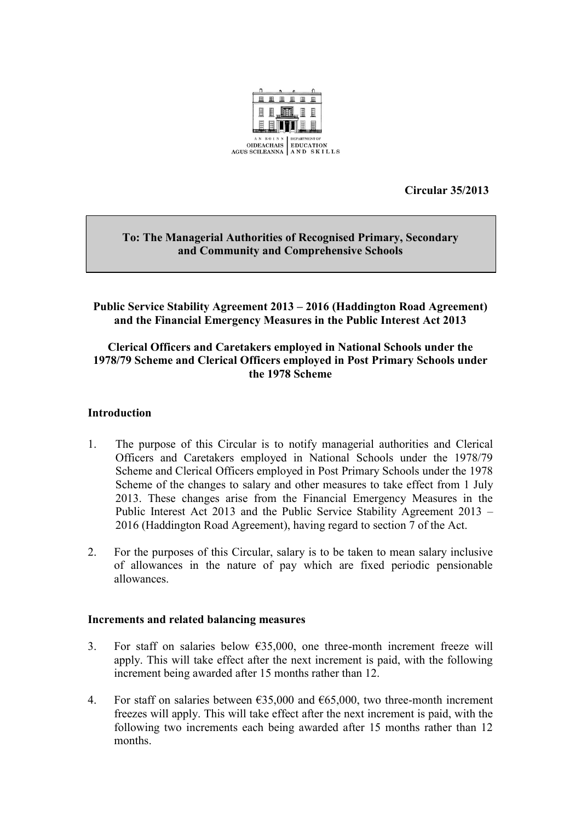

**Circular 35/2013** 

## **To: The Managerial Authorities of Recognised Primary, Secondary and Community and Comprehensive Schools**

# **Public Service Stability Agreement 2013 – 2016 (Haddington Road Agreement) and the Financial Emergency Measures in the Public Interest Act 2013**

# **Clerical Officers and Caretakers employed in National Schools under the 1978/79 Scheme and Clerical Officers employed in Post Primary Schools under the 1978 Scheme**

### **Introduction**

- 1. The purpose of this Circular is to notify managerial authorities and Clerical Officers and Caretakers employed in National Schools under the 1978/79 Scheme and Clerical Officers employed in Post Primary Schools under the 1978 Scheme of the changes to salary and other measures to take effect from 1 July 2013. These changes arise from the Financial Emergency Measures in the Public Interest Act 2013 and the Public Service Stability Agreement 2013 – 2016 (Haddington Road Agreement), having regard to section 7 of the Act.
- 2. For the purposes of this Circular, salary is to be taken to mean salary inclusive of allowances in the nature of pay which are fixed periodic pensionable allowances.

#### **Increments and related balancing measures**

- 3. For staff on salaries below  $635,000$ , one three-month increment freeze will apply. This will take effect after the next increment is paid, with the following increment being awarded after 15 months rather than 12.
- 4. For staff on salaries between  $635,000$  and  $665,000$ , two three-month increment freezes will apply. This will take effect after the next increment is paid, with the following two increments each being awarded after 15 months rather than 12 months.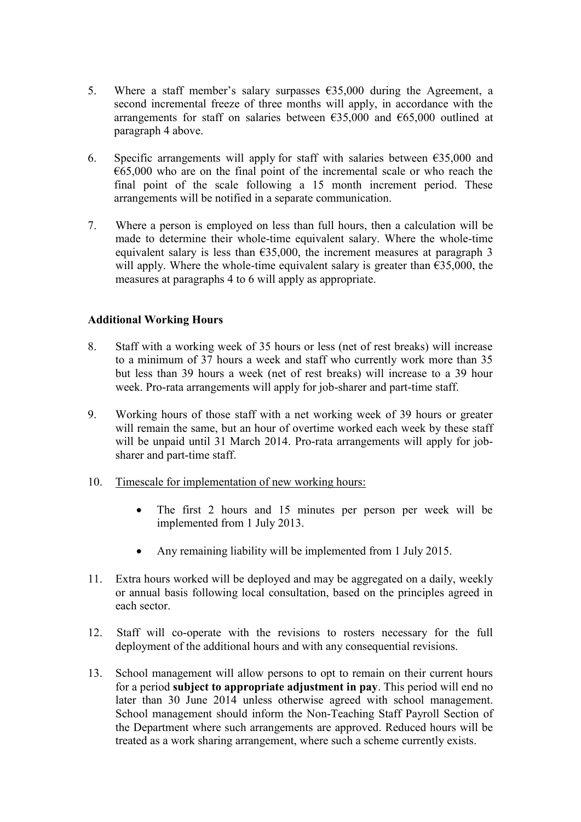- 5. Where a staff member's salary surpasses  $635,000$  during the Agreement, a second incremental freeze of three months will apply, in accordance with the arrangements for staff on salaries between  $\epsilon$ 35,000 and  $\epsilon$ 65,000 outlined at paragraph 4 above.
- 6. Specific arrangements will apply for staff with salaries between  $\epsilon$ 35,000 and  $665,000$  who are on the final point of the incremental scale or who reach the final point of the scale following a 15 month increment period. These arrangements will be notified in a separate communication.
- 7. Where a person is employed on less than full hours, then a calculation will be made to determine their whole-time equivalent salary. Where the whole-time equivalent salary is less than  $635,000$ , the increment measures at paragraph 3 will apply. Where the whole-time equivalent salary is greater than  $\epsilon$ 35,000, the measures at paragraphs 4 to 6 will apply as appropriate.

## **Additional Working Hours**

- 8. Staff with a working week of 35 hours or less (net of rest breaks) will increase to a minimum of 37 hours a week and staff who currently work more than 35 but less than 39 hours a week (net of rest breaks) will increase to a 39 hour week. Pro-rata arrangements will apply for job-sharer and part-time staff.
- Working hours of those staff with a net working week of 39 hours or greater will remain the same, but an hour of overtime worked each week by these staff will be unpaid until 31 March 2014. Pro-rata arrangements will apply for jobsharer and part-time staff.
- 10. Timescale for implementation of new working hours:
	- The first 2 hours and 15 minutes per person per week will be implemented from 1 July 2013.
	- Any remaining liability will be implemented from 1 July 2015.
- Extra hours worked will be deployed and may be aggregated on a daily, weekly or annual basis following local consultation, based on the principles agreed in each sector.
- 12. Staff will co-operate with the revisions to rosters necessary for the full deployment of the additional hours and with any consequential revisions.
- 13. School management will allow persons to opt to remain on their current hours for a period **subject to appropriate adjustment in pay**. This period will end no later than 30 June 2014 unless otherwise agreed with school management. School management should inform the Non-Teaching Staff Payroll Section of the Department where such arrangements are approved. Reduced hours will be treated as a work sharing arrangement, where such a scheme currently exists.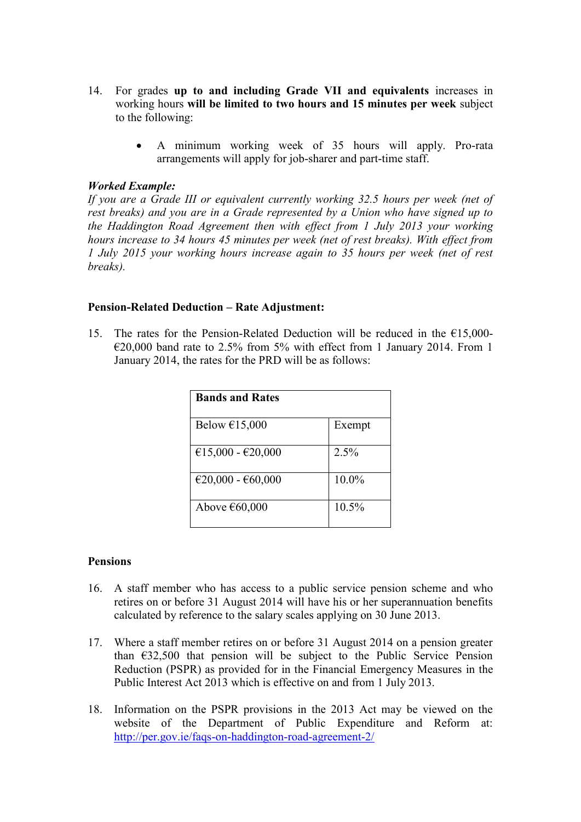- 14. For grades **up to and including Grade VII and equivalents** increases in working hours **will be limited to two hours and 15 minutes per week** subject to the following:
	- A minimum working week of 35 hours will apply. Pro-rata arrangements will apply for job-sharer and part-time staff.

#### *Worked Example:*

*If you are a Grade III or equivalent currently working 32.5 hours per week (net of rest breaks) and you are in a Grade represented by a Union who have signed up to the Haddington Road Agreement then with effect from 1 July 2013 your working hours increase to 34 hours 45 minutes per week (net of rest breaks). With effect from 1 July 2015 your working hours increase again to 35 hours per week (net of rest breaks).* 

#### **Pension-Related Deduction – Rate Adjustment:**

15. The rates for the Pension-Related Deduction will be reduced in the  $\epsilon$ 15,000- $\epsilon$ 20,000 band rate to 2.5% from 5% with effect from 1 January 2014. From 1 January 2014, the rates for the PRD will be as follows:

| <b>Bands and Rates</b> |          |
|------------------------|----------|
| Below $£15,000$        | Exempt   |
| €15,000 - €20,000      | 2.5%     |
| €20,000 - €60,000      | 10.0%    |
| Above €60,000          | $10.5\%$ |

#### **Pensions**

- 16. A staff member who has access to a public service pension scheme and who retires on or before 31 August 2014 will have his or her superannuation benefits calculated by reference to the salary scales applying on 30 June 2013.
- 17. Where a staff member retires on or before 31 August 2014 on a pension greater than  $632,500$  that pension will be subject to the Public Service Pension Reduction (PSPR) as provided for in the Financial Emergency Measures in the Public Interest Act 2013 which is effective on and from 1 July 2013.
- 18. Information on the PSPR provisions in the 2013 Act may be viewed on the website of the Department of Public Expenditure and Reform at: <http://per.gov.ie/faqs-on-haddington-road-agreement-2/>